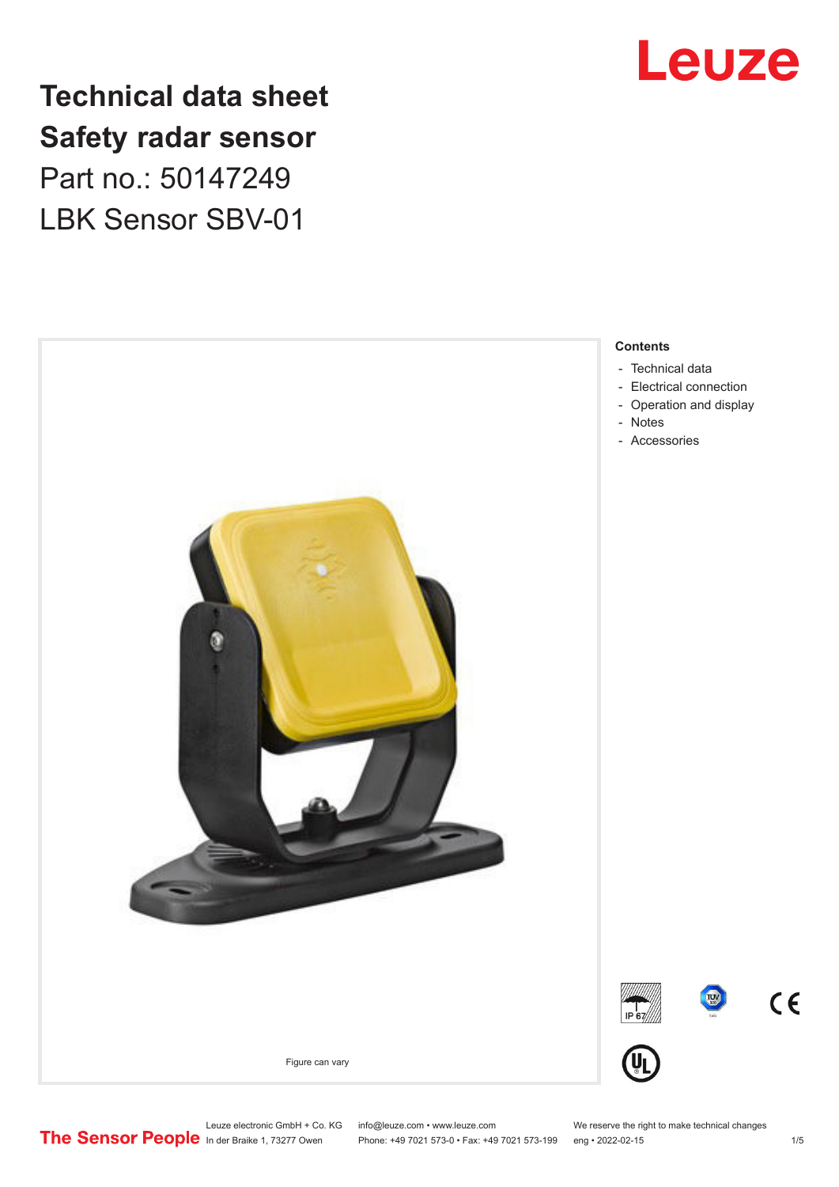

## **Technical data sheet Safety radar sensor** Part no.: 50147249

LBK Sensor SBV-01



Leuze electronic GmbH + Co. KG info@leuze.com • www.leuze.com We reserve the right to make technical changes<br> **The Sensor People** in der Braike 1, 73277 Owen Phone: +49 7021 573-0 • Fax: +49 7021 573-199 eng • 2022-02-15

Phone: +49 7021 573-0 • Fax: +49 7021 573-199 eng • 2022-02-15 1 /5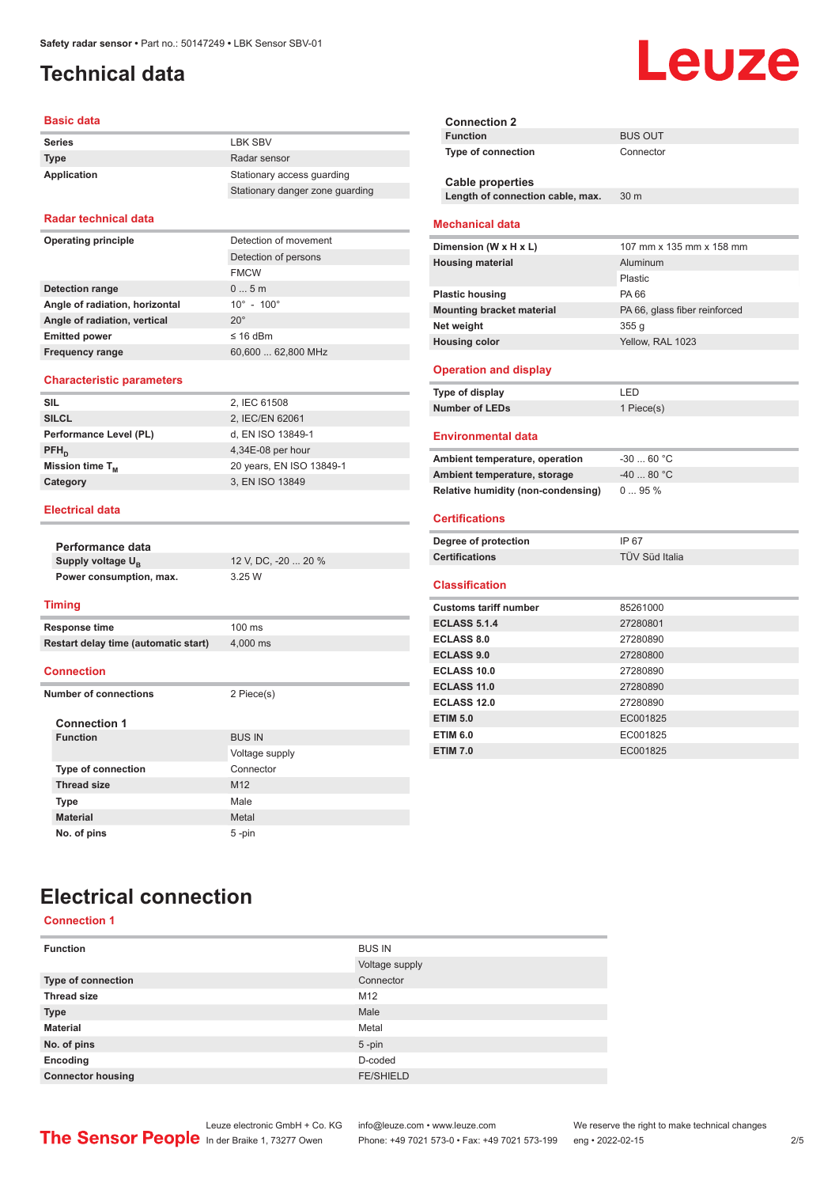## <span id="page-1-0"></span>**Technical data**

#### **Basic data**

| <b>Series</b> | <b>I BK SBV</b>                 |
|---------------|---------------------------------|
| <b>Type</b>   | Radar sensor                    |
| Application   | Stationary access quarding      |
|               | Stationary danger zone guarding |

#### **Radar technical data**

| Operating principle            | Detection of movement        |  |
|--------------------------------|------------------------------|--|
|                                | Detection of persons         |  |
|                                | <b>FMCW</b>                  |  |
| <b>Detection range</b>         | 05m                          |  |
| Angle of radiation, horizontal | $10^{\circ}$ - $100^{\circ}$ |  |
| Angle of radiation, vertical   | $20^{\circ}$                 |  |
| <b>Emitted power</b>           | $\leq$ 16 dBm                |  |
| <b>Frequency range</b>         | 60,600  62,800 MHz           |  |
|                                |                              |  |

#### **Characteristic parameters**

| <b>SIL</b>             | 2, IEC 61508             |
|------------------------|--------------------------|
| <b>SILCL</b>           | 2, IEC/EN 62061          |
| Performance Level (PL) | d, EN ISO 13849-1        |
| $PFH_{n}$              | $4,34E-08$ per hour      |
| Mission time $T_{M}$   | 20 years, EN ISO 13849-1 |
| Category               | 3, EN ISO 13849          |
|                        |                          |

#### **Electrical data**

|                              | Performance data                     |                     |
|------------------------------|--------------------------------------|---------------------|
|                              | Supply voltage U <sub>B</sub>        | 12 V, DC, -20  20 % |
|                              | Power consumption, max.              | 3.25W               |
|                              |                                      |                     |
|                              | <b>Timing</b>                        |                     |
|                              | <b>Response time</b>                 | $100$ ms            |
|                              | Restart delay time (automatic start) | 4,000 ms            |
|                              |                                      |                     |
|                              | <b>Connection</b>                    |                     |
| <b>Number of connections</b> |                                      | 2 Piece(s)          |
|                              |                                      |                     |
|                              | <b>Connection 1</b>                  |                     |
|                              | <b>Function</b>                      | <b>BUS IN</b>       |
|                              |                                      | Voltage supply      |
|                              | <b>Type of connection</b>            | Connector           |
|                              | <b>Thread size</b>                   | M <sub>12</sub>     |
|                              | <b>Type</b>                          | Male                |
|                              | <b>Material</b>                      | Metal               |
|                              | No. of pins                          | 5-pin               |

| <b>Mechanical data</b>             |                               |
|------------------------------------|-------------------------------|
| Dimension (W x H x L)              | 107 mm x 135 mm x 158 mm      |
| <b>Housing material</b>            | Aluminum                      |
|                                    | Plastic                       |
| <b>Plastic housing</b>             | PA 66                         |
| <b>Mounting bracket material</b>   | PA 66, glass fiber reinforced |
| Net weight                         | 355q                          |
| <b>Housing color</b>               | Yellow, RAL 1023              |
|                                    |                               |
| <b>Operation and display</b>       |                               |
| Type of display                    | LED                           |
| <b>Number of LEDs</b>              | 1 Piece(s)                    |
| <b>Environmental data</b>          |                               |
|                                    |                               |
| Ambient temperature, operation     | $-3060 °C$                    |
| Ambient temperature, storage       | $-4080 °C$                    |
| Relative humidity (non-condensing) | $095\%$                       |
| <b>Certifications</b>              |                               |
|                                    |                               |
| Degree of protection               | IP 67                         |
| <b>Certifications</b>              | TÜV Süd Italia                |
| <b>Classification</b>              |                               |
| <b>Customs tariff number</b>       | 85261000                      |
|                                    |                               |

**Type of connection** Connector

Length of connection cable, max. 30 m

**Connection 2**

**Cable properties**

| Customs tariff number | 85261000 |
|-----------------------|----------|
| <b>ECLASS 5.1.4</b>   | 27280801 |
| <b>ECLASS 8.0</b>     | 27280890 |
| <b>ECLASS 9.0</b>     | 27280800 |
| <b>ECLASS 10.0</b>    | 27280890 |
| ECLASS 11.0           | 27280890 |
| <b>ECLASS 12.0</b>    | 27280890 |
| <b>ETIM 5.0</b>       | EC001825 |
| <b>ETIM 6.0</b>       | EC001825 |
| <b>ETIM 7.0</b>       | EC001825 |

## **Electrical connection**

#### **Connection 1**

| <b>Function</b>          | <b>BUS IN</b>    |
|--------------------------|------------------|
|                          | Voltage supply   |
| Type of connection       | Connector        |
| <b>Thread size</b>       | M12              |
| <b>Type</b>              | Male             |
| <b>Material</b>          | Metal            |
| No. of pins              | $5$ -pin         |
| Encoding                 | D-coded          |
| <b>Connector housing</b> | <b>FE/SHIELD</b> |

Leuze electronic GmbH + Co. KG info@leuze.com • www.leuze.com We reserve the right to make technical changes<br>
The Sensor People in der Braike 1, 73277 Owen Phone: +49 7021 573-0 • Fax: +49 7021 573-199 eng • 2022-02-15

Phone: +49 7021 573-0 • Fax: +49 7021 573-199 eng • 2022-02-15 2 /5

## **Leuze**

**BUS OUT**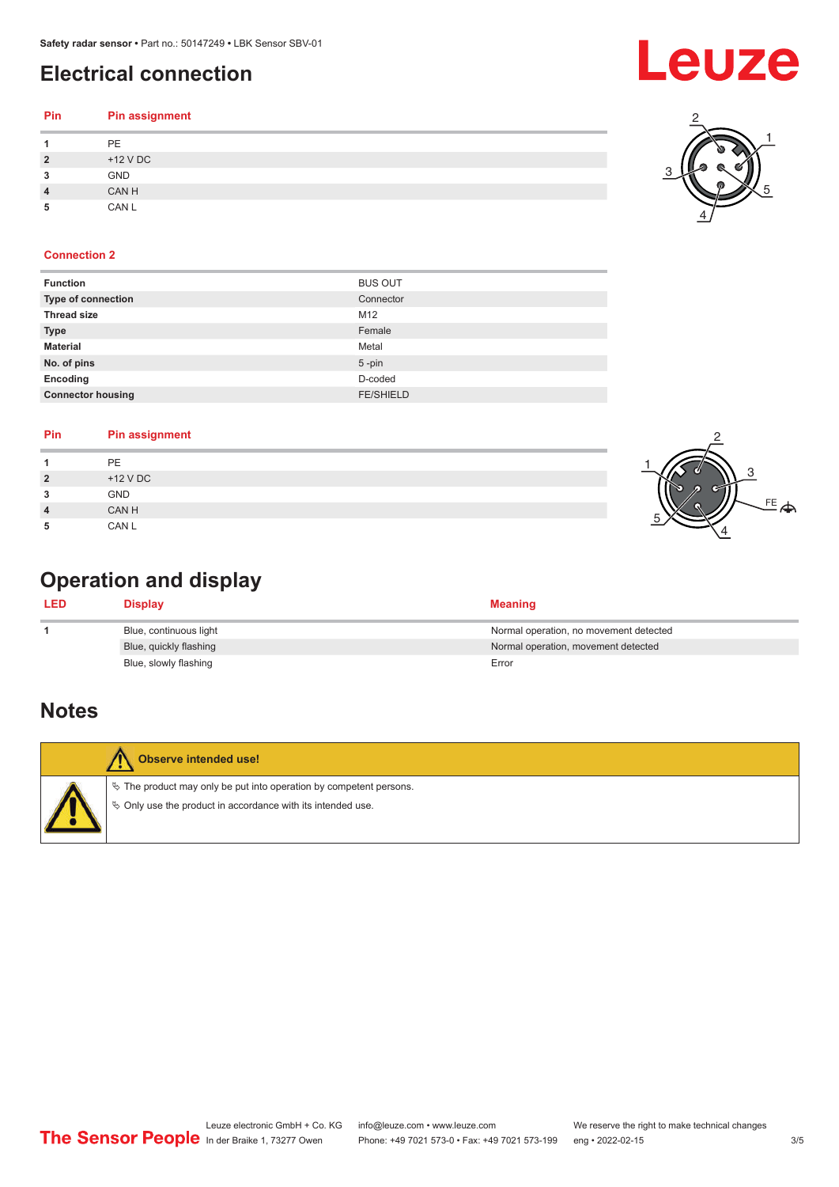## <span id="page-2-0"></span>**Electrical connection**

| <b>PE</b><br>1               |  |
|------------------------------|--|
| $\overline{2}$<br>$+12$ V DC |  |
| 3<br><b>GND</b>              |  |
| CAN H<br>4                   |  |
| CAN L<br>5                   |  |

#### **Connection 2**

| <b>Function</b>          | <b>BUS OUT</b>   |
|--------------------------|------------------|
| Type of connection       | Connector        |
| <b>Thread size</b>       | M12              |
| <b>Type</b>              | Female           |
| <b>Material</b>          | Metal            |
| No. of pins              | $5 - pin$        |
| Encoding                 | D-coded          |
| <b>Connector housing</b> | <b>FE/SHIELD</b> |
|                          |                  |

| Pin               | <b>Pin assignment</b> |  |
|-------------------|-----------------------|--|
|                   | PE                    |  |
| $\mathbf{\Omega}$ | $+12$ V DC            |  |
| 3                 | GND                   |  |
| ◢                 | CAN H                 |  |
|                   | CAN L                 |  |

## **Operation and display**

| <b>LED</b> | <b>Display</b>         | <b>Meaning</b>                         |
|------------|------------------------|----------------------------------------|
|            | Blue, continuous light | Normal operation, no movement detected |
|            | Blue, quickly flashing | Normal operation, movement detected    |
|            | Blue, slowly flashing  | Error                                  |

### **Notes**





2

4

3

1

5

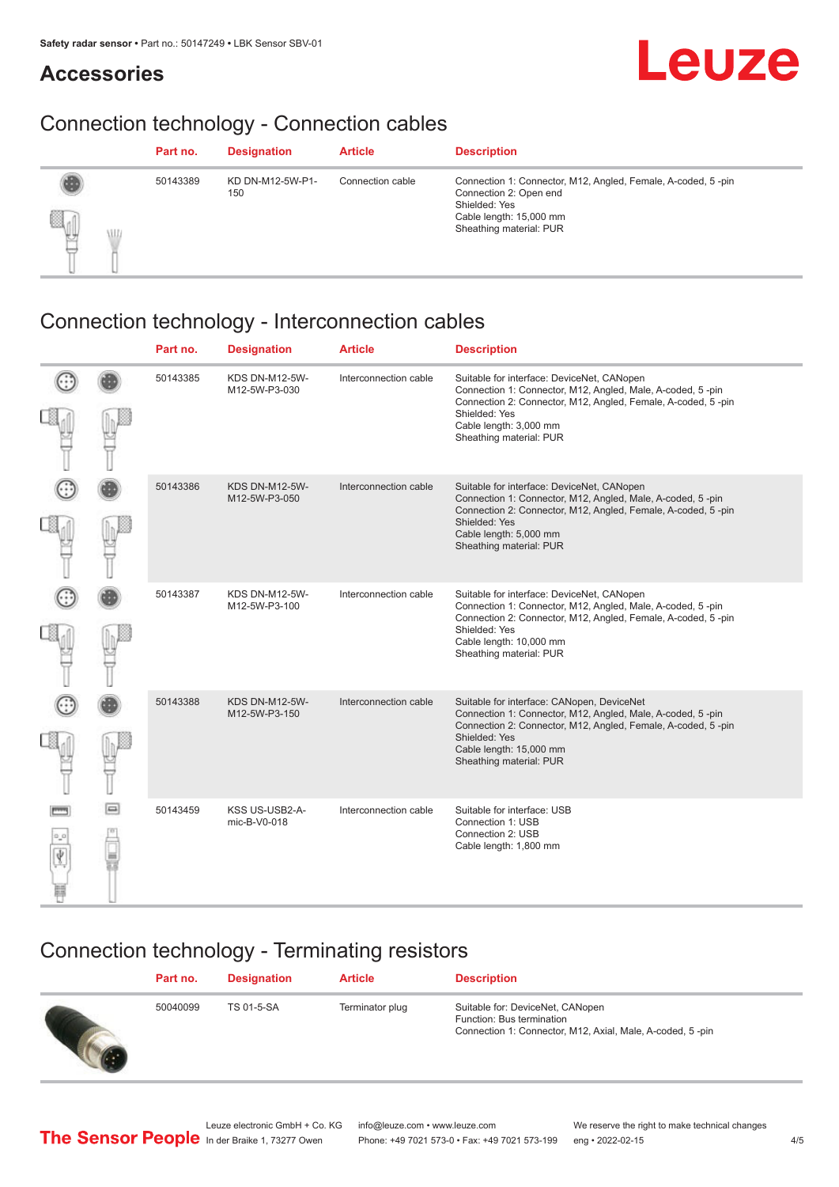## **Accessories**



## Connection technology - Connection cables

|                    | Part no. | <b>Designation</b>      | <b>Article</b>   | <b>Description</b>                                                                                                                                            |
|--------------------|----------|-------------------------|------------------|---------------------------------------------------------------------------------------------------------------------------------------------------------------|
| e.<br>y<br>ιU<br>٠ | 50143389 | KD DN-M12-5W-P1-<br>150 | Connection cable | Connection 1: Connector, M12, Angled, Female, A-coded, 5-pin<br>Connection 2: Open end<br>Shielded: Yes<br>Cable length: 15,000 mm<br>Sheathing material: PUR |

## Connection technology - Interconnection cables

|             | Part no. | <b>Designation</b>                     | <b>Article</b>        | <b>Description</b>                                                                                                                                                                                                                              |
|-------------|----------|----------------------------------------|-----------------------|-------------------------------------------------------------------------------------------------------------------------------------------------------------------------------------------------------------------------------------------------|
|             | 50143385 | <b>KDS DN-M12-5W-</b><br>M12-5W-P3-030 | Interconnection cable | Suitable for interface: DeviceNet, CANopen<br>Connection 1: Connector, M12, Angled, Male, A-coded, 5-pin<br>Connection 2: Connector, M12, Angled, Female, A-coded, 5-pin<br>Shielded: Yes<br>Cable length: 3,000 mm<br>Sheathing material: PUR  |
|             | 50143386 | <b>KDS DN-M12-5W-</b><br>M12-5W-P3-050 | Interconnection cable | Suitable for interface: DeviceNet, CANopen<br>Connection 1: Connector, M12, Angled, Male, A-coded, 5-pin<br>Connection 2: Connector, M12, Angled, Female, A-coded, 5-pin<br>Shielded: Yes<br>Cable length: 5,000 mm<br>Sheathing material: PUR  |
|             | 50143387 | <b>KDS DN-M12-5W-</b><br>M12-5W-P3-100 | Interconnection cable | Suitable for interface: DeviceNet, CANopen<br>Connection 1: Connector, M12, Angled, Male, A-coded, 5-pin<br>Connection 2: Connector, M12, Angled, Female, A-coded, 5-pin<br>Shielded: Yes<br>Cable length: 10,000 mm<br>Sheathing material: PUR |
|             | 50143388 | <b>KDS DN-M12-5W-</b><br>M12-5W-P3-150 | Interconnection cable | Suitable for interface: CANopen, DeviceNet<br>Connection 1: Connector, M12, Angled, Male, A-coded, 5-pin<br>Connection 2: Connector, M12, Angled, Female, A-coded, 5-pin<br>Shielded: Yes<br>Cable length: 15,000 mm<br>Sheathing material: PUR |
| $\Box$<br>▄ | 50143459 | KSS US-USB2-A-<br>mic-B-V0-018         | Interconnection cable | Suitable for interface: USB<br>Connection 1: USB<br>Connection 2: USB<br>Cable length: 1,800 mm                                                                                                                                                 |

## Connection technology - Terminating resistors

| Part no. | <b>Designation</b> | <b>Article</b>  | <b>Description</b>                                                                                                         |
|----------|--------------------|-----------------|----------------------------------------------------------------------------------------------------------------------------|
| 50040099 | TS 01-5-SA         | Terminator plug | Suitable for: DeviceNet, CANopen<br>Function: Bus termination<br>Connection 1: Connector, M12, Axial, Male, A-coded, 5-pin |
|          |                    |                 |                                                                                                                            |